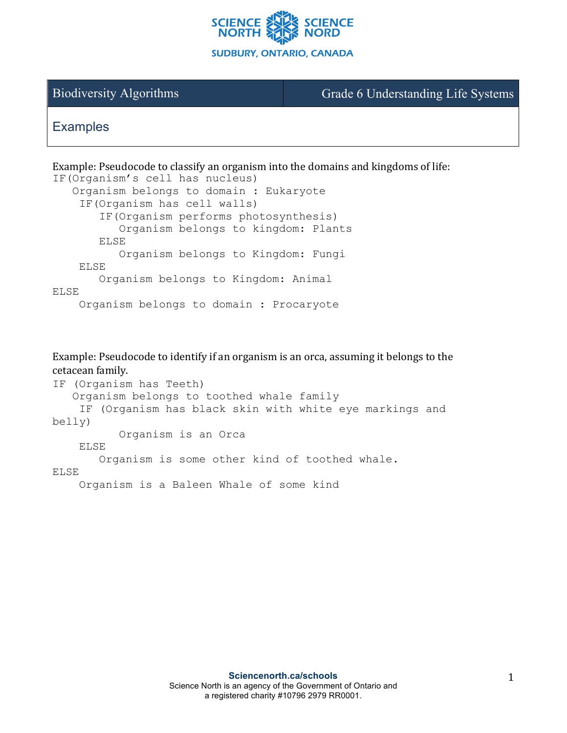

Biodiversity Algorithms Grade 6 Understanding Life Systems

## **Examples**

Example: Pseudocode to classify an organism into the domains and kingdoms of life: IF(Organism's cell has nucleus) Organism belongs to domain : Eukaryote IF(Organism has cell walls) IF(Organism performs photosynthesis) Organism belongs to kingdom: Plants ELSE Organism belongs to Kingdom: Fungi ELSE Organism belongs to Kingdom: Animal ELSE Organism belongs to domain : Procaryote

Example: Pseudocode to identify if an organism is an orca, assuming it belongs to the cetacean family.

```
IF (Organism has Teeth)
    Organism belongs to toothed whale family 
     IF (Organism has black skin with white eye markings and 
belly)
           Organism is an Orca
     ELSE 
        Organism is some other kind of toothed whale.
ELSE
     Organism is a Baleen Whale of some kind
```